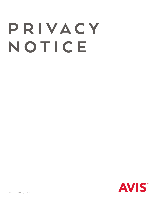# P R I V A C Y NOTICE

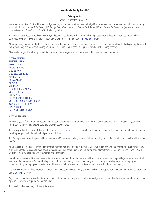# **Avis Rent a Car System, LLC**

# **Privacy Notice**

### Notice Last Updated: July 31, 2017

Welcome to the Privacy Notice of the Avis, Budget and Payless companies within the Avis Budget Group, Inc. and their subsidiaries and affiliates, including, without limitation Avis Rent A Car System, LLC, Budget Rent A Car System, Inc., Budget Truck Rental, LLC and Payless Car Rental, Inc. (we refer to these companies as "ABG," "we," "us," or "our" in this Privacy Notice).

This Privacy Notice does not apply to those Avis, Budget or Payless locations that are owned and operated by an independent licensee not owned nor controlled by ABG or any ABG affiliate or subsidiary. Click here to learn more about [independent locations](#page-8-0) .

ABG may change portions of this Privacy Notice from time to time, so be sure to check back. If we make a change that significantly affects your rights, we will notify you by way of a prominent posting on our websites, e-mail and/or postal mail prior to the change becoming effective.

Please select any of the following hyperlinks to learn about the ways we collect, use, share and disclose personal information:

[GETTING STARTED](#page-1-0) [RENTING A VEHICLE](#page-2-0) [VEHICLE DATA](#page-2-1) [PHOTOS & VIDEO](#page-2-2) [ONLINE DATA](#page-2-3) [ONLINE ADVERTISING](#page-3-0) [MARKETING](#page-3-1) [SOCIAL MEDIA](#page-3-2) [ANALYTICS](#page-4-0) [CHILDREN](#page-4-1) [INFORMATION SHARING](#page-4-2) [YOUR CHOICES](#page-5-0) **[SAFEGUARDS](#page-5-1)** [STORAGE AND RETENTION](#page-6-0) [YOUR CALIFORNIA PRIVACY RIGHTS](#page-6-1) [ACCESS AND CORRECTION](#page-6-2) [KEY CONTACTS](#page-7-0) [INDEPENDENT LOCATIONS](#page-8-1)

# <span id="page-1-0"></span>**GETTING STARTED**

ABG wants you to feel comfortable about giving us access to your personal information. Use this Privacy Notice to find out what happens to your personal information when you interact with ABG and what choices you have.

This Privacy Notice does not apply to our independent [licensee locations](#page-8-0) . Please review the privacy notices of our independent licensees for information on how they use personal information that you provide to them.

This Privacy Notice covers the personal information the ABG companies collect, use and disclose through your use of our products and services either online or offline.

ABG needs to collect personal information from you to rent a vehicle or provide our other services. We collect personal information when you give it to us, such as by telephone, fax, postal mail, email, at the counter, upon completion of an application or enrollment form, or through your use of one of ABG's website or mobile Apps or the use of our products and services.

Sometimes, we may combine your personal information with other information we received from other sources so we can provide you a more customized and hassle-free experience. We may obtain personal information about you from a third party, such as through a travel agent, an account program connected with your employer or association. Additionally, our affiliates and third parties may provide us with information about you.

We may also automatically collect technical information about your devices when you use our website and App. To learn about our online data collection, go to the [Online Data](#page-2-3) section.

Any disputes regarding how we handle your personal information will be governed by the terms of your vehicle rental or the terms of use of our website or App, unless otherwise required by applicable law.

This may include mandatory arbitration of disputes.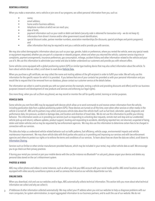# <span id="page-2-0"></span>**RENTING A VEHICLE**

When you make a reservation, rent a vehicle or join one of our programs, we collect personal information from you, such as:

- name;
- email address;
- home and/or business address;
- telephone numbers at which we can reach you;
- date of birth;
- payment information such as your credit or debit card details (security code is obtained for transaction only we do not keep it);
- information from driver's license and/or other government issued identification;
- special discount codes, partner member numbers, association memberships (for discounts, special privileges and points programs); and
- other information that may be required to rent you a vehicle and/or provide you with services.

We may also collect demographic information about you such as your age, gender, habits or preferences, where you rented the vehicle, were any special needs or equipment requested, whether you are part of a corporate or rewards program, where and when you returned the vehicle, customer service inquiries or complaints, payment arrangements, insurance preferences, gas consumption, mileage, accident history and other information related to the vehicle and your use of it. We use this information to administer your rental and also to better understand our customers and provide you with relevant offers.

Some vehicles come equipped with a global positioning system (GPS) or similar type tracking device that may also collect information about the vehicle. To learn about vehicle data we collect, scroll down to read about [Vehicle Data.](#page-2-1)

When you purchase a gift certificate, we may collect the name and mailing address of the gift recipient in order to fulfill your order. We will only use this information for the specific reason for which it is provided. If you believe that one of your contacts has provided us with your personal information and you would like to request that it be removed from our database, please contact our customer service at the details below.

The information we collect is used to provide you with our great services (for example, renting a vehicle and providing discounts and offers) and for our business purposes (research and development of new products and services and enforcing our legal rights).

One more thing: when you call us (from any phone), we may record or monitor the call for qualify control, training or similar purposes.

# <span id="page-2-1"></span>**VEHICLE DATA**

Some vehicles you rent from ABG may be equipped with devices which allow us to send commands to and receive certain information from the vehicle, including geolocation data from a global positioning system (GPS). These devices are turned on all the time, even when other services or other media in the vehicle is turned off. ABG and its partners may collect and process vehicle data about the vehicle itself, such as fuel level, odometer, speed, diagnostic and performance data, tire pressure, accident or damage data, and location and direction of travel data. We do not use this information to profile your driving behavior. This information assists us in providing our services (such as responding to unlocking door requests, remote start and stop and our unattended vehicle pick-up and return), software updates, product support, locating and responding to accidents, identifying reported lost, not returned, suspected of being stolen and stolen vehicles and as may be requested by law enforcement agencies. We may also use this information to determine certain fees to be charged in connection with our services.

This data also helps us understand vehicle related behavior such as traffic patterns, fuel efficiency, vehicle usage, environmental impacts and vehicle maintenance improvement. We may share vehicle data with third parties who assist us in providing and improving our services and with law enforcement agencies and others to protect our rights or to enforce the terms and conditions of our services. To learn about how we share the data we collect, scroll down to [Information Sharing](#page-4-2) .

Services such as OnStar or other similar manufacturer provided features, which may be included in your rental, may collect vehicle data as well. We encourage you to go check out their privacy practices.

If during your rental you connect or pair your mobile device with the car (for instance via Bluetooth® or usb port), please unpair your device and delete any personal data stored on the car's infotainment system.

# <span id="page-2-2"></span>**PHOTOS & VIDEO**

ABG may collect photos and videos in some instances, such as when you link your ABG account with your social media profile. ABG rental locations are also equipped with video security surveillance systems as well as cameras that record as our vehicles depart/enter our lots.

### <span id="page-2-3"></span>**ONLINE DATA**

When you download, visit and use our websites and/or Apps, ABG automatically collects technical information. This section tells you more about what technical information we collect and why we collect it.

3 *IP Addresses & other information collected automatically*: We may collect your IP address when you visit our websites to help us diagnose problems with our main computers, for system administration, to report aggregated information to our business partners, and to audit the use of our website. We do not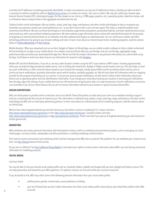normally link IP addresses to anything personally identifiable. In select circumstances, we may use IP addresses to help us identify you when we feel it is necessary to enforce compliance with our [Website Terms of Use](https://www.avis.com/car-rental/html/global/en/terms/termsofuse.html) or to protect our service, site, users or others. We may also collect your browser type, Internet Service Provider (ISP), referring/exit pages, the files viewed on our site (e.g., HTML pages, graphics, etc.), operating system, date/time stamp, and/ or clickstream data to analyze trends in the aggregate and administer the site.

*Cookies & other similar technologies*: We use cookies, scripts, pixel tags, etags, web beacons and other similar technologies to help us recognize you, remember your previous rentals, your travel preferences, etc., so you don't have to tell us over and over again! This helps us make the website more convenient and efficient. We also use these technologies to track website usage trends and patterns, personalize features, and tailor advertisements to you and provide you with a personalized marketing experience. We share website usage information about visitors with selected third parties for the purpose of targeting our Internet advertisements on our websites and other websites that display our advertisements. You can control your cookies and other technology preferences by going to your browser settings and tools. To learn more about our interest-based online marketing programs, read the sections below on [Online Advertising](#page-3-0) and [Your Choices](#page-5-0).

*Mobile Analytics*: When you download and use our Avis, Budget or Payless Car Rental Apps, we use mobile analytics software to help us better understand the functionality of our App on your mobile device. Our analytics may record how often you use the App, how you use the App, aggregated usage, performance data and where you downloaded the App from. We do not link the analytic information to any personal information you submit while using the App. Scroll down to read more about how we use information for research under **[Analytics](#page-4-0)**.

*Mobile GPS and Push Notifications:* If you let us, we may collect location markers using the GPS in your device or WIFI routers. Knowing approximately where you are helps the App provide you better service, such as finding the nearest Avis, Budget or Payless rental location near you. This also helps us send you push notifications or other communications based on your location (for example, nearby special offers) and for providing certain services such as arrival and return notifications, providing information about vehicle location, available upgrades, etc. We will only share this information with our mapping provider for the purpose of providing you our services. To ensure you receive proper notifications, we will need to collect certain information about your device such as operating system and user identification information. If you change your mind about sharing your location or receiving push notifications from the App, adjust the settings of your mobile device to turn off transmission of geolocation data or to stop transmission of push notifications at any time. Just remember if you do turn these features off, you will not receive information tailored to your location or special locations-based offers.

# <span id="page-3-0"></span>**ONLINE ADVERTISING**

ABG uses third-parties to provide online or electronic ads on our behalf. These third parties use data about your visits to our websites and Apps usage to send you customized ads that may be of interest to you. This information is collected using cookies, scripts, pixel tags, etags, web beacons and other similar technologies by ABG and our third-party advertising partners. To learn more about our interest-based online marketing programs, read the sections above on Online Data.

Want to learn about targeted advertising and what choices you have when it comes to marketing? U.S. visitors click here: <http://www.networkadvertising.org/choices/>or here<http://www.aboutads.info/choices/>. Canadian visitors click here: <http://www.networkadvertising.org/choices/>or [http://youradchoices.ca/choices/.](http://youradchoices.ca/choices/) Please note that if you opt out of targeted advertising you will continue to receive general ads.

# <span id="page-3-1"></span>**MARKETING**

ABG sometimes also shares personal information with third-parties to help us with our marketing and promotional projects, such as managing our social media pages, running contests, sweepstakes and other promotions, or sending marketing communications.

Don't want to receive promotional and marketing emails and text messages from ABG and our partners? No problem! You can withdraw your consent at any time. See [Your Choices](#page-5-0) below to find out how.

Do you live in California? See [Your California Privacy Rights](#page-6-1) to read about your rights to receive certain information about ABG's use and sharing of personal information for marketing purposes.

# <span id="page-3-2"></span>**SOCIAL MEDIA**

Link Your Profile

You may be able to link your favorite social media profile such as, Facebook, Twitter, LinkedIn and Google with your Avis, Budget and Payless account. This can help personalize and streamline your ABG experience. It's optional, and you can link and unlink your account at any time.

If you do decide to link, ABG may collect some of the following personal information from your social media profile:

- profile picture, gender, marital status, sexual preference, birthday;
- your list of friends (but we don't collect information from their social media profile unless they've also linked their profile to their ABG account);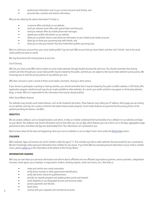- professional information such as your current and prior work history; and
- personal likes, activities and interest information.

Why are we collecting the above information? To help us:

- customize offers and deals on our website;
- send you relevant email offers with special deals and discounts;
- send you relevant offers by mobile phone text messages;
- update your profile information on our website;
- allow you to publish check-in and check-out information to your linked social media accounts;
- allow you to share your upcoming trips with friends; and
- allow you to view your friends' that have linked their profiles upcoming trips.

Want to unlink your account from your social media profile? Log into each ABG account that you have linked, and then click "Unlink" next to the social media profile you want to unlink.

We may discontinue this linking feature at any time.

### Social Sharing

ABG lets you share some ABG online content on social media websites through hosted sharing links and icons. You should remember that sharing content and links through your social media profile may be viewed by the public, and that you are subject to that social media website's privacy policy. We encourage you to read the privacy policies of any website you visit.

ABG does not track or store a record of those social media comments, sharing or other actions.

If you choose to participate in posting or sharing activities, you should remember that it may be viewed by the public via ABG's website, in RSS feeds, APIs (application program interfaces) and may also be made available to other websites. As a result, your public activities may appear on third-party websites, blogs, or feeds. ABG isn't responsible for the information that may be shared publicly.

### Other Social Media Features

Our websites may include social media features, such as the Facebook Like button. These features may collect your IP address, which page you are visiting on our website, and may set a cookie so that the Like button feature works properly! Social media features are governed by the privacy policies of the website providing the feature, not ABG's.

# <span id="page-4-0"></span>**ANALYTICS**

We use analytic software, such as Google Analytics and others, to help us to better understand the functionality of our software on our websites and Apps on your device. This software may record information such as how often you use our App, which features you use or don't use in the App, aggregated usage, performance data, and where the App was downloaded from. This information isn't connected to you.

Want to learn about all the data and happenings when you visit our websites or use our Apps? Learn more under the [Online Data](#page-2-3) section.

### <span id="page-4-1"></span>**CHILDREN**

ABG's websites, Apps and services are not for children under the age of 13. This includes any links to other websites that we provide for your convenience. We don't knowingly collect personal information from children for any reason. If you think ABG has received personal information of your child or another minor, please [contact us](#page-7-0) as the information at the bottom of this Privacy Notice.

### <span id="page-4-2"></span>**INFORMATION SHARING**

ABG may use and share your personal information and vehicle data to affiliated and non-affiliated organizations (partners, service providers, independent licensees, travel agents, your employer or organization, brokers, booking engines, credit card issuers, etc.), that help us:

- make and confirm your rental reservation;
- verify drivers licenses or other government identification;
- verify safe driver criteria for qualified drivers;
- provide our rewards program and update partner points and rewards;
- verify eligibility to use designated account and discount codes;
- process payments and refunds;
- fraud check:
- connect with your corporate and commercial accounts;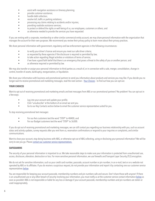- assist with navigation assistance or itinerary planning;
- provide customer assistance;
- handle debt collection:
- resolve toll, traffic or parking violations;
- processing any claims relating to accidents and/or injuries;
- providing roadside assistance services;
- to protect or defend the rights or well-being of us, our employees, customers or others; and
- as otherwise needed to provide the services you have requested.

If you are renting with a corporate, membership or other similar commercial entity account, we may share personal information with the organization that manages the account for their own purposes. We recommend you review their privacy policy to learn more about their privacy practices.

We share personal information with government, regulatory and law enforcement agencies in the following circumstances:

- to verify your driver's license and ensure you meet our safe driver criteria;
- as requested by these agencies if the disclosure is required or permitted by law;
- to take action regarding illegal activities or violations of terms of service;
- if we have a good faith belief that there is an emergency that poses a threat to the safety of you or another person; and
- as otherwise required or permitted by law.

We may also transfer or assign your personal information to third parties as a result of, or in connection with a sale, merger, consolidation, change in control, transfer of assets, bankruptcy, reorganization, or liquidation.

We share your information with business and promotional partners to send you information about products and services you may like. If you decide you no longer want to receive promotional and marketing messages, read the next section - [Your Choices](#page-5-0) - to find out how you can opt-out.

# <span id="page-5-0"></span>**YOUR CHOICES**

Want to opt out of receiving promotional and marketing emails and text messages from ABG or our promotional partners? No problem! You can opt out in a few ways:

- Log into your account and update your profile.
- Click "unsubscribe" at the bottom of an email we sent you.
- Go to our Key Contacts section below to email the customer service representative suited for you.

To stop receiving promotional text messages:

- For our Avis customers text the word "STOP" to 48400; and
- For our Budget customers text the word "STOP" to 36300.

If you do opt out of receiving promotional and marketing messages, we can still contact you regarding our business relationship with you, such as account status and activity updates, survey requests after you rent from us, reservation confirmations or respond to your inquiries or complaints, and similar communications.

Want to close your account, stop doing business with ABG, or otherwise opt out of ABG collecting, using or disclosing your personal information? We will be sorry to see you go. Please [contact our customer service representatives.](#page-7-0)

# <span id="page-5-1"></span>**SAFEGUARDS**

The security of your personal information is important to us. We take reasonable steps to make sure your information is protected from unauthorized use, access, disclosure, alteration, destruction or loss. For more sensitive personal information, we use firewalls and Transport Layer Security (TLS) encryption.

We do not ask for sensitive information, such as your credit card number, passcode, account number or pin number, in an e-mail, text or on a website not operated by ABG or its affiliates. If you do receive a suspicious request, do not provide your information and report it by contacting one our customer service representatives [below](#page-7-0).

You are responsible for keeping your account passcode, membership numbers and pin numbers safe and secure. Don't share those with anyone! If there is an unauthorized use or any other breach of security involving your information, you must notify us at the customer service contact information [below](#page-7-0) as soon as possible! ABG is not responsible or liable for any loss or damage if your account passcode, membership numbers and pin numbers are stolen or used inappropriately.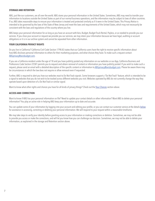### <span id="page-6-0"></span>**STORAGE AND RETENTION**

ABG, just like our customers, are all over the world. ABG stores your personal information in the United States. Sometimes, ABG may need to transfer your information to locations outside the United States as part of our normal business operations, and the information may be subject to laws of other countries. If so, ABG takes reasonable steps to ensure your information is treated and protected similarly as if it were in the United States. This Privacy Notice is intended to be governed by the laws of the State of New Jersey and meet the laws and requirements of the United States, which may not necessarily be consistent with the laws and regulations of the country where you live.

ABG keeps your personal information for as long as you have an account with Avis, Budget, Budget Truck Rental, Payless, or as needed to provide you our services. If you close your account or request we provide you our services, we may retain your information because we have legal, auditing or account obligations or it is in our archive system and cannot be separated from other information.

### <span id="page-6-1"></span>**YOUR CALIFORNIA PRIVACY RIGHTS**

Do you live in California? California Civil Code Section 1798.83 states that our California users have the right to receive specific information about how ABG discloses personal information to others for their marketing purposes, and what choices they have. To make such a request contact: [ABGprivacy@avisbudget.com.](mailto:ABGprivacy%40avisbudget.com?subject=)

If you are a California resident under the age of 18 and you have publicly posted any information on our websites or our App, California Business and Professions Code Section 22581 permits you to request and obtain removal of content or information you have publicly posted. If you wish to make such a request, please send an email with a detailed description of the specific content or information t[o ABGprivacy@avisbudget.com](mailto:%20ABGprivacy%40avisbudget.com?subject=). Please be aware there may be circumstances in which the law does not require or allow removal even if requested.

Further, ABG is required to alert you how our websites react to Do Not Track signals. Some browsers support a "Do Not Track" feature, which is intended to be a signal to websites that you do not wish to be tracked across different websites you visit. Websites operated by ABG do not currently change the way they operate based upon detection of a Do Not Track or similar signal.

Want to know what other rights and choices you have for all kinds of privacy things? Check out the [Your Choices](#page-5-0) section above.

# <span id="page-6-2"></span>**ACCESS AND CORRECTION**

Want to know if ABG has your personal information on file? Need to update your contact details or other information? Want ABG to delete your personal information? You play an active role in helping ABG keep your information up to date and accurate.

You can update some of your information by logging into your account and editing your profile, or you can contact our customer service at the details [below](#page-7-0) for assistance in accessing, correcting or deleting your personal information. We will respond to your request within a reasonable timeframe.

We may take steps to verify your identity before granting access to your information or making corrections or deletion. Sometimes, we may not be able to provide you access or make the corrections, and will let you know how you can challenge our decision. Sometimes, we may not be able to delete your information, as explained in the storage and Retention section above.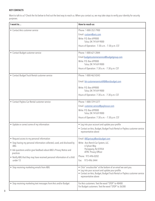# <span id="page-7-0"></span>**KEY CONTACTS**

Want to talk to us? Check the list below to find out the best way to reach us. When you contact us, we may take steps to verify your identity for security purposes.

| I want to                                                                                                                                                                                                                                                                                                 | <b>How to reach us</b>                                                                                                                                                                                                 |
|-----------------------------------------------------------------------------------------------------------------------------------------------------------------------------------------------------------------------------------------------------------------------------------------------------------|------------------------------------------------------------------------------------------------------------------------------------------------------------------------------------------------------------------------|
| • Contact Avis customer service                                                                                                                                                                                                                                                                           | Phone: 1-800-352-7900<br>Email: custserv@avis.com<br>Write: P.O. Box 699000<br>Tulsa, OK 74169-9000<br>Hours of Operation: 7:30 a.m. - 7:30 p.m. CST                                                                   |
| • Contact Budget customer service                                                                                                                                                                                                                                                                         | Phone: 1-800-621-2844<br>Email:budgetcustomerservice@budgetgroup.com<br>Write: P.O. Box 699000<br>Tulsa, OK 74169-9000<br>Hours of Operation: 7:30 a.m. - 7:30 p.m. CST                                                |
| • Contact Budget Truck Rental customer service                                                                                                                                                                                                                                                            | Phone: 1-800-462-8343<br>Email: btr-customerserviceVAB@avisbudget.com<br>Write: P.O. Box 699000<br>Tulsa, OK 74169-9000<br>Hours of Operation: 7:30 a.m. - 7:30 p.m. CST                                               |
| • Contact Payless Car Rental customer service                                                                                                                                                                                                                                                             | Phone: 1-800-729-5377<br>Email: customer.service@paylesscar.com<br>Write: P.O. Box 699000<br>Tulsa, OK 74169-9000<br>Hours of Operation: 7:30 a.m. - 7:30 p.m. CST                                                     |
| • Update or correct some of my information                                                                                                                                                                                                                                                                | • Log into your account and update your profile<br>• Contact an Avis, Budget, Budget Truck Rental or Payless customer service<br>representative above                                                                  |
| • Request access to my personal information<br>• Stop having my personal information collected, used, and disclosed by<br>ABG<br>• Ask questions and/or give feedback about ABG's Privacy Notice and<br>practices<br>• Notify ABG that they may have received personal information of a child<br>under 13 | Email: ABGprivacy@avisbudget.com<br>Write: Avis Rent A Car System, LLC.<br>6 Sylvan Way<br>Parsippany, NJ 07054<br>ATTN: Privacy Officer<br>Phone: 973-496-0202<br>Fax: 973-496-3444                                   |
| • Stop receiving marketing emails from ABG                                                                                                                                                                                                                                                                | • Click "unsubscribe" at the bottom of an email we sent you.<br>• Log into your account and update your profile.<br>• Contact an Avis, Budget, Budget Truck Rental or Payless customer service<br>representative above |
| • Stop receiving marketing text messages from Avis and/or Budget                                                                                                                                                                                                                                          | For Avis customers: Text the word "STOP" to 48400<br>For Budget customers: Text the word "STOP" to 36300                                                                                                               |